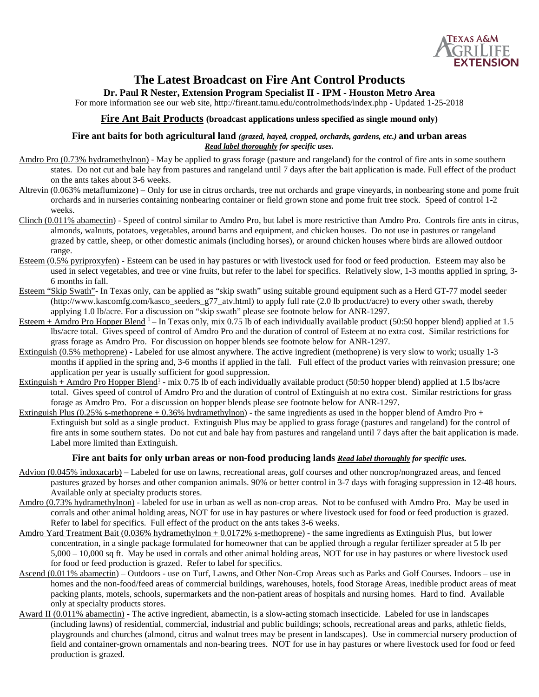

# **The Latest Broadcast on Fire Ant Control Products**

## **Dr. Paul R Nester, Extension Program Specialist II - IPM - Houston Metro Area**

For more information see our web site, http://fireant.tamu.edu/controlmethods/index.php - Updated 1-25-2018

#### **Fire Ant Bait Products (broadcast applications unless specified as single mound only)**

#### **Fire ant baits for both agricultural land** *(grazed, hayed, cropped, orchards, gardens, etc.)* **and urban areas** *Read label thoroughly for specific uses.*

- Amdro Pro (0.73% hydramethylnon) May be applied to grass forage (pasture and rangeland) for the control of fire ants in some southern states. Do not cut and bale hay from pastures and rangeland until 7 days after the bait application is made. Full effect of the product on the ants takes about 3-6 weeks.
- Altrevin (0.063% metaflumizone) Only for use in citrus orchards, tree nut orchards and grape vineyards, in nonbearing stone and pome fruit orchards and in nurseries containing nonbearing container or field grown stone and pome fruit tree stock. Speed of control 1-2 weeks.
- Clinch (0.011% abamectin) Speed of control similar to Amdro Pro, but label is more restrictive than Amdro Pro. Controls fire ants in citrus, almonds, walnuts, potatoes, vegetables, around barns and equipment, and chicken houses. Do not use in pastures or rangeland grazed by cattle, sheep, or other domestic animals (including horses), or around chicken houses where birds are allowed outdoor range.
- Esteem (0.5% pyriproxyfen) Esteem can be used in hay pastures or with livestock used for food or feed production. Esteem may also be used in select vegetables, and tree or vine fruits, but refer to the label for specifics. Relatively slow, 1-3 months applied in spring, 3- 6 months in fall.
- Esteem "Skip Swath"- In Texas only, can be applied as "skip swath" using suitable ground equipment such as a Herd GT-77 model seeder (http://www.kascomfg.com/kasco\_seeders\_g77\_atv.html) to apply full rate (2.0 lb product/acre) to every other swath, thereby applying 1.0 lb/acre. For a discussion on "skip swath" please see footnote below for ANR-1297.
- Esteem + Amdro Pro Hopper Blend  $1$  In Texas only, mix 0.75 lb of each individually available product (50:50 hopper blend) applied at 1.5 lbs/acre total. Gives speed of control of Amdro Pro and the duration of control of Esteem at no extra cost. Similar restrictions for grass forage as Amdro Pro. For discussion on hopper blends see footnote below for ANR-1297.
- Extinguish (0.5% methoprene) Labeled for use almost anywhere. The active ingredient (methoprene) is very slow to work; usually 1-3 months if applied in the spring and, 3-6 months if applied in the fall. Full effect of the product varies with reinvasion pressure; one application per year is usually sufficient for good suppression.
- $Extinguish + Amdro Pro Hopper Blend<sup>1</sup> mix 0.75 lb of each individually available product (50:50 hopper blend) applied at 1.5 lbs/acre$ total. Gives speed of control of Amdro Pro and the duration of control of Extinguish at no extra cost. Similar restrictions for grass forage as Amdro Pro. For a discussion on hopper blends please see footnote below for ANR-1297.
- Extinguish Plus (0.25% s-methoprene  $+ 0.36\%$  hydramethylnon) the same ingredients as used in the hopper blend of Amdro Pro + Extinguish but sold as a single product. Extinguish Plus may be applied to grass forage (pastures and rangeland) for the control of fire ants in some southern states. Do not cut and bale hay from pastures and rangeland until 7 days after the bait application is made. Label more limited than Extinguish.

### **Fire ant baits for only urban areas or non-food producing lands** *Read label thoroughly for specific uses.*

- Advion (0.045% indoxacarb) Labeled for use on lawns, recreational areas, golf courses and other noncrop/nongrazed areas, and fenced pastures grazed by horses and other companion animals. 90% or better control in 3-7 days with foraging suppression in 12-48 hours. Available only at specialty products stores.
- Amdro (0.73% hydramethylnon) labeled for use in urban as well as non-crop areas. Not to be confused with Amdro Pro. May be used in corrals and other animal holding areas*,* NOT for use in hay pastures or where livestock used for food or feed production is grazed. Refer to label for specifics. Full effect of the product on the ants takes 3-6 weeks.
- Amdro Yard Treatment Bait (0.036% hydramethylnon + 0.0172% s-methoprene) the same ingredients as Extinguish Plus, but lower concentration, in a single package formulated for homeowner that can be applied through a regular fertilizer spreader at 5 lb per 5,000 – 10,000 sq ft. May be used in corrals and other animal holding areas*,* NOT for use in hay pastures or where livestock used for food or feed production is grazed. Refer to label for specifics.
- Ascend (0.011% abamectin) Outdoors use on Turf, Lawns, and Other Non-Crop Areas such as Parks and Golf Courses. Indoors use in homes and the non-food/feed areas of commercial buildings, warehouses, hotels, food Storage Areas, inedible product areas of meat packing plants, motels, schools, supermarkets and the non-patient areas of hospitals and nursing homes. Hard to find. Available only at specialty products stores.
- Award II (0.011% abamectin) The active ingredient, abamectin, is a slow-acting stomach insecticide. Labeled for use in landscapes (including lawns) of residential, commercial, industrial and public buildings; schools, recreational areas and parks, athletic fields, playgrounds and churches (almond, citrus and walnut trees may be present in landscapes). Use in commercial nursery production of field and container-grown ornamentals and non-bearing trees. NOT for use in hay pastures or where livestock used for food or feed production is grazed.